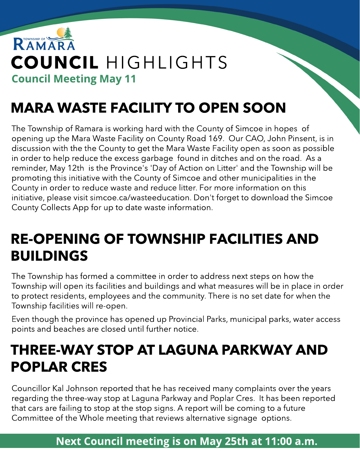

# MARA WASTE FACILITY TO OPEN SOON

The Township of Ramara is working hard with the County of Simcoe in hopes of opening up the Mara Waste Facility on County Road 169. Our CAO, John Pinsent, is in discussion with the the County to get the Mara Waste Facility open as soon as possible in order to help reduce the excess garbage found in ditches and on the road. As a reminder, May 12th is the Province's 'Day of Action on Litter' and the Township will be promoting this initiative with the County of Simcoe and other municipalities in the County in order to reduce waste and reduce litter. For more information on this initiative, please visit simcoe.ca/wasteeducation. Don't forget to download the Simcoe County Collects App for up to date waste information.

### RE-OPENING OF TOWNSHIP FACILITIES AND BUILDINGS

The Township has formed a committee in order to address next steps on how the Township will open its facilities and buildings and what measures will be in place in order to protect residents, employees and the community. There is no set date for when the Township facilities will re-open.

Even though the province has opened up Provincial Parks, municipal parks, water access points and beaches are closed until further notice.

### THREE-WAY STOP AT LAGUNA PARKWAY AND POPLAR CRES

Councillor Kal Johnson reported that he has received many complaints over the years regarding the three-way stop at Laguna Parkway and Poplar Cres. It has been reported that cars are failing to stop at the stop signs. A report will be coming to a future Committee of the Whole meeting that reviews alternative signage options.

Next Council meeting is on May 25th at 11:00 a.m.